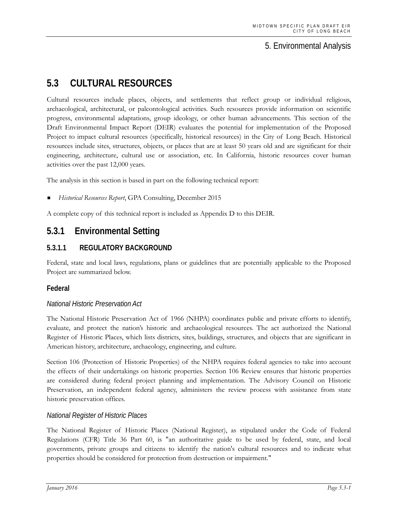# 5. Environmental Analysis

# **5.3 CULTURAL RESOURCES**

Cultural resources include places, objects, and settlements that reflect group or individual religious, archaeological, architectural, or paleontological activities. Such resources provide information on scientific progress, environmental adaptations, group ideology, or other human advancements. This section of the Draft Environmental Impact Report (DEIR) evaluates the potential for implementation of the Proposed Project to impact cultural resources (specifically, historical resources) in the City of Long Beach. Historical resources include sites, structures, objects, or places that are at least 50 years old and are significant for their engineering, architecture, cultural use or association, etc. In California, historic resources cover human activities over the past 12,000 years.

The analysis in this section is based in part on the following technical report:

*Historical Resources Report*, GPA Consulting, December 2015

A complete copy of this technical report is included as Appendix D to this DEIR.

# **5.3.1 Environmental Setting**

### **5.3.1.1 REGULATORY BACKGROUND**

Federal, state and local laws, regulations, plans or guidelines that are potentially applicable to the Proposed Project are summarized below.

#### **Federal**

#### *National Historic Preservation Act*

The National Historic Preservation Act of 1966 (NHPA) coordinates public and private efforts to identify, evaluate, and protect the nation's historic and archaeological resources. The act authorized the National Register of Historic Places, which lists districts, sites, buildings, structures, and objects that are significant in American history, architecture, archaeology, engineering, and culture.

Section 106 (Protection of Historic Properties) of the NHPA requires federal agencies to take into account the effects of their undertakings on historic properties. Section 106 Review ensures that historic properties are considered during federal project planning and implementation. The Advisory Council on Historic Preservation, an independent federal agency, administers the review process with assistance from state historic preservation offices.

#### *National Register of Historic Places*

The National Register of Historic Places (National Register), as stipulated under the Code of Federal Regulations (CFR) Title 36 Part 60, is "an authoritative guide to be used by federal, state, and local governments, private groups and citizens to identify the nation's cultural resources and to indicate what properties should be considered for protection from destruction or impairment."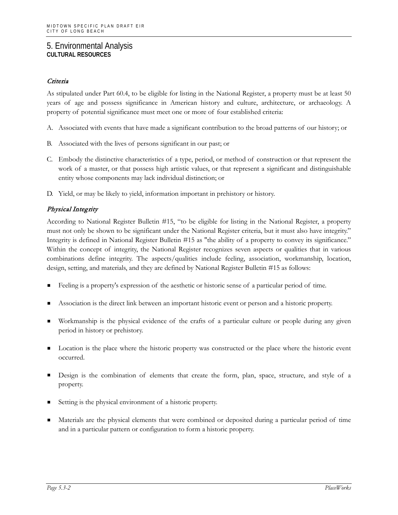#### Criteria

As stipulated under Part 60.4, to be eligible for listing in the National Register, a property must be at least 50 years of age and possess significance in American history and culture, architecture, or archaeology. A property of potential significance must meet one or more of four established criteria:

- A. Associated with events that have made a significant contribution to the broad patterns of our history; or
- B. Associated with the lives of persons significant in our past; or
- C. Embody the distinctive characteristics of a type, period, or method of construction or that represent the work of a master, or that possess high artistic values, or that represent a significant and distinguishable entity whose components may lack individual distinction; or
- D. Yield, or may be likely to yield, information important in prehistory or history.

### Physical Integrity

According to National Register Bulletin #15, "to be eligible for listing in the National Register, a property must not only be shown to be significant under the National Register criteria, but it must also have integrity." Integrity is defined in National Register Bulletin #15 as "the ability of a property to convey its significance." Within the concept of integrity, the National Register recognizes seven aspects or qualities that in various combinations define integrity. The aspects/qualities include feeling, association, workmanship, location, design, setting, and materials, and they are defined by National Register Bulletin #15 as follows:

- Feeling is a property's expression of the aesthetic or historic sense of a particular period of time.
- Association is the direct link between an important historic event or person and a historic property.
- Workmanship is the physical evidence of the crafts of a particular culture or people during any given period in history or prehistory.
- Location is the place where the historic property was constructed or the place where the historic event occurred.
- Design is the combination of elements that create the form, plan, space, structure, and style of a property.
- Setting is the physical environment of a historic property.
- Materials are the physical elements that were combined or deposited during a particular period of time and in a particular pattern or configuration to form a historic property.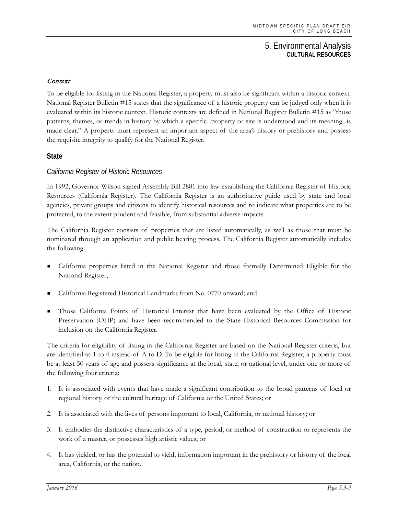#### Context

To be eligible for listing in the National Register, a property must also be significant within a historic context. National Register Bulletin #15 states that the significance of a historic property can be judged only when it is evaluated within its historic context. Historic contexts are defined in National Register Bulletin #15 as "those patterns, themes, or trends in history by which a specific...property or site is understood and its meaning...is made clear." A property must represent an important aspect of the area's history or prehistory and possess the requisite integrity to qualify for the National Register.

#### **State**

#### *California Register of Historic Resources*

In 1992, Governor Wilson signed Assembly Bill 2881 into law establishing the California Register of Historic Resources (California Register). The California Register is an authoritative guide used by state and local agencies, private groups and citizens to identify historical resources and to indicate what properties are to be protected, to the extent prudent and feasible, from substantial adverse impacts.

The California Register consists of properties that are listed automatically, as well as those that must be nominated through an application and public hearing process. The California Register automatically includes the following:

- California properties listed in the National Register and those formally Determined Eligible for the National Register;
- California Registered Historical Landmarks from No. 0770 onward; and
- Those California Points of Historical Interest that have been evaluated by the Office of Historic Preservation (OHP) and have been recommended to the State Historical Resources Commission for inclusion on the California Register.

The criteria for eligibility of listing in the California Register are based on the National Register criteria, but are identified as 1 to 4 instead of A to D. To be eligible for listing in the California Register, a property must be at least 50 years of age and possess significance at the local, state, or national level, under one or more of the following four criteria:

- 1. It is associated with events that have made a significant contribution to the broad patterns of local or regional history, or the cultural heritage of California or the United States; or
- 2. It is associated with the lives of persons important to local, California, or national history; or
- 3. It embodies the distinctive characteristics of a type, period, or method of construction or represents the work of a master, or possesses high artistic values; or
- 4. It has yielded, or has the potential to yield, information important in the prehistory or history of the local area, California, or the nation.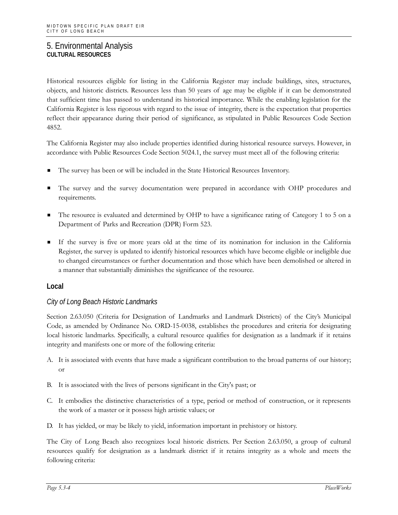Historical resources eligible for listing in the California Register may include buildings, sites, structures, objects, and historic districts. Resources less than 50 years of age may be eligible if it can be demonstrated that sufficient time has passed to understand its historical importance. While the enabling legislation for the California Register is less rigorous with regard to the issue of integrity, there is the expectation that properties reflect their appearance during their period of significance, as stipulated in Public Resources Code Section 4852.

The California Register may also include properties identified during historical resource surveys. However, in accordance with Public Resources Code Section 5024.1, the survey must meet all of the following criteria:

- The survey has been or will be included in the State Historical Resources Inventory.
- The survey and the survey documentation were prepared in accordance with OHP procedures and requirements.
- The resource is evaluated and determined by OHP to have a significance rating of Category 1 to 5 on a Department of Parks and Recreation (DPR) Form 523.
- If the survey is five or more years old at the time of its nomination for inclusion in the California Register, the survey is updated to identify historical resources which have become eligible or ineligible due to changed circumstances or further documentation and those which have been demolished or altered in a manner that substantially diminishes the significance of the resource.

#### **Local**

### *City of Long Beach Historic Landmarks*

Section 2.63.050 (Criteria for Designation of Landmarks and Landmark Districts) of the City's Municipal Code, as amended by Ordinance No. ORD-15-0038, establishes the procedures and criteria for designating local historic landmarks. Specifically, a cultural resource qualifies for designation as a landmark if it retains integrity and manifests one or more of the following criteria:

- A. It is associated with events that have made a significant contribution to the broad patterns of our history; or
- B. It is associated with the lives of persons significant in the City's past; or
- C. It embodies the distinctive characteristics of a type, period or method of construction, or it represents the work of a master or it possess high artistic values; or
- D. It has yielded, or may be likely to yield, information important in prehistory or history.

The City of Long Beach also recognizes local historic districts. Per Section 2.63.050, a group of cultural resources qualify for designation as a landmark district if it retains integrity as a whole and meets the following criteria: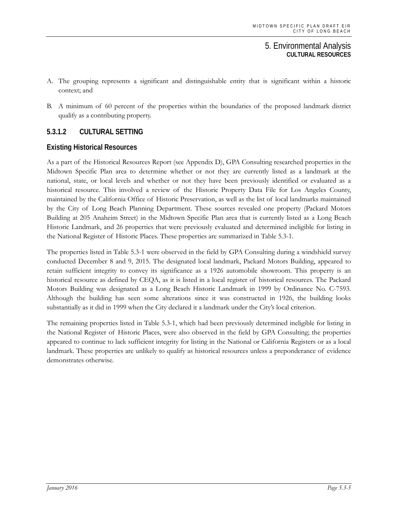- A. The grouping represents a significant and distinguishable entity that is significant within a historic context; and
- B. A minimum of 60 percent of the properties within the boundaries of the proposed landmark district qualify as a contributing property.

# **5.3.1.2 CULTURAL SETTING**

### **Existing Historical Resources**

As a part of the Historical Resources Report (see Appendix D), GPA Consulting researched properties in the Midtown Specific Plan area to determine whether or not they are currently listed as a landmark at the national, state, or local levels and whether or not they have been previously identified or evaluated as a historical resource. This involved a review of the Historic Property Data File for Los Angeles County, maintained by the California Office of Historic Preservation, as well as the list of local landmarks maintained by the City of Long Beach Planning Department. These sources revealed one property (Packard Motors Building at 205 Anaheim Street) in the Midtown Specific Plan area that is currently listed as a Long Beach Historic Landmark, and 26 properties that were previously evaluated and determined ineligible for listing in the National Register of Historic Places. These properties are summarized in Table 5.3-1.

The properties listed in Table 5.3-1 were observed in the field by GPA Consulting during a windshield survey conducted December 8 and 9, 2015. The designated local landmark, Packard Motors Building, appeared to retain sufficient integrity to convey its significance as a 1926 automobile showroom. This property is an historical resource as defined by CEQA, as it is listed in a local register of historical resources. The Packard Motors Building was designated as a Long Beach Historic Landmark in 1999 by Ordinance No. C-7593. Although the building has seen some alterations since it was constructed in 1926, the building looks substantially as it did in 1999 when the City declared it a landmark under the City's local criterion.

The remaining properties listed in Table 5.3-1, which had been previously determined ineligible for listing in the National Register of Historic Places, were also observed in the field by GPA Consulting; the properties appeared to continue to lack sufficient integrity for listing in the National or California Registers or as a local landmark. These properties are unlikely to qualify as historical resources unless a preponderance of evidence demonstrates otherwise.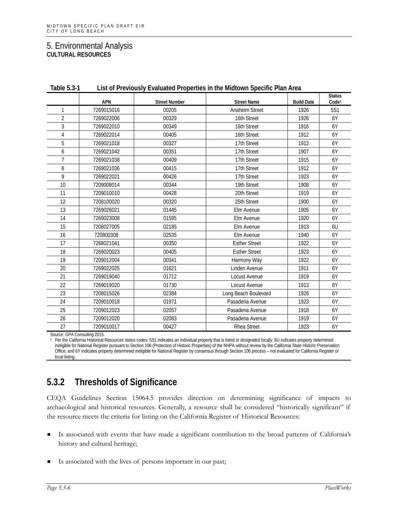| Table 5.3-1    | List of Previously Evaluated Properties in the Midtown Specific Plan Area |                      |                       |                   |                                    |  |
|----------------|---------------------------------------------------------------------------|----------------------|-----------------------|-------------------|------------------------------------|--|
|                | <b>APN</b>                                                                | <b>Street Number</b> | <b>Street Name</b>    | <b>Build Date</b> | <b>Status</b><br>Code <sup>1</sup> |  |
| 1              | 7269015016                                                                | 00205                | <b>Anaheim Street</b> | 1926              | 5S1                                |  |
| $\overline{2}$ | 7269022006                                                                | 00329                | 16th Street           | 1926              | 6Y                                 |  |
| 3              | 7269022010                                                                | 00349                | 16th Street           | 1916              | 6Y                                 |  |
| 4              | 7269022014                                                                | 00405                | 16th Street           | 1912              | 6Y                                 |  |
| 5              | 7269021018                                                                | 00327                | 17th Street           | 1912              | 6Y                                 |  |
| 6              | 7269021042                                                                | 00351                | 17th Street           | 1907              | 6Y                                 |  |
| $\overline{7}$ | 7269021038                                                                | 00409                | 17th Street           | 1915              | 6Y                                 |  |
| 8              | 7269021036                                                                | 00415                | 17th Street           | 1912              | 6Y                                 |  |
| 9              | 7269022021                                                                | 00426                | 17th Street           | 1923              | 6Y                                 |  |
| 10             | 7209008014                                                                | 00344                | 19th Street           | 1908              | 6Y                                 |  |
| 11             | 7209010010                                                                | 00428                | 20th Street           | 1919              | 6Y                                 |  |
| 12             | 7208100020                                                                | 00320                | 25th Street           | 1900              | 6Y                                 |  |
| 13             | 7269026021                                                                | 01445                | Elm Avenue            | 1905              | 6Y                                 |  |
| 14             | 7269023008                                                                | 01595                | Elm Avenue            | 1920              | 6Y                                 |  |
| 15             | 7208027005                                                                | 02185                | Elm Avenue            | 1913              | 6U                                 |  |
| 16             | 720800308                                                                 | 02535                | Elm Avenue            | 1940              | 6Y                                 |  |
| 17             | 7268021041                                                                | 00350                | <b>Esther Street</b>  | 1922              | 6Y                                 |  |
| 18             | 7269020023                                                                | 00405                | <b>Esther Street</b>  | 1923              | 6Y                                 |  |
| 19             | 7209012004                                                                | 00341                | Harmony Way           | 1922              | 6Y                                 |  |
| 20             | 7269022025                                                                | 01621                | Linden Avenue         | 1911              | 6Y                                 |  |
| 21             | 7269019040                                                                | 01712                | Locust Avenue         | 1919              | 6Y                                 |  |
| 22             | 7269019020                                                                | 01730                | Locust Avenue         | 1913              | 6Y                                 |  |
| 23             | 7208015026                                                                | 02384                | Long Beach Boulevard  | 1928              | 6Y                                 |  |
| 24             | 7209010018                                                                | 01971                | Pasadena Avenue       | 1923              | 6Y                                 |  |
| 25             | 7209012023                                                                | 02057                | Pasadena Avenue       | 1918              | 6Y                                 |  |
| 26             | 7209012020                                                                | 02083                | Pasadena Avenue       | 1919              | 6Y                                 |  |
| 27             | 7209010017                                                                | 00427                | <b>Rhea Street</b>    | 1923              | 6Y                                 |  |

**Table 5.3-1 List of Previously Evaluated Properties in the Midtown Specific Plan Area**

Source: GPA Consulting 2015.

Per the California Historical Resources status codes: 5S1 indicates an individual property that is listed or designated locally; 6U indicates property determined ineligible for National Register pursuant to Section 106 (Protection of Historic Properties) of the NHPA without review by the California State Historic Preservation Office; and 6Y indicates property determined ineligible for National Register by consensus through Section 106 process – not evaluated for California Register or local listing.

# **5.3.2 Thresholds of Significance**

CEQA Guidelines Section 15064.5 provides direction on determining significance of impacts to archaeological and historical resources. Generally, a resource shall be considered "historically significant" if the resource meets the criteria for listing on the California Register of Historical Resources:

- Is associated with events that have made a significant contribution to the broad patterns of California's history and cultural heritage;
- Is associated with the lives of persons important in our past;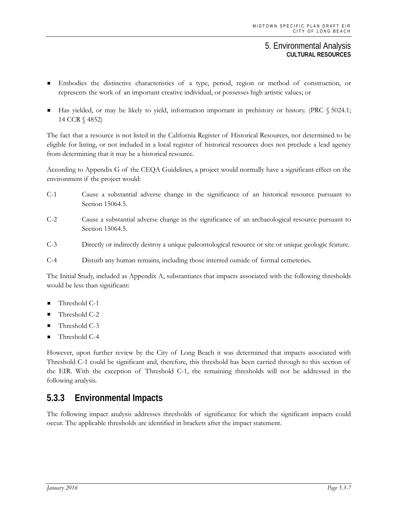- Embodies the distinctive characteristics of a type, period, region or method of construction, or represents the work of an important creative individual, or possesses high artistic values; or
- Has yielded, or may be likely to yield, information important in prehistory or history. (PRC § 5024.1; 14 CCR § 4852)

The fact that a resource is not listed in the California Register of Historical Resources, not determined to be eligible for listing, or not included in a local register of historical resources does not preclude a lead agency from determining that it may be a historical resource.

According to Appendix G of the CEQA Guidelines, a project would normally have a significant effect on the environment if the project would:

- C-1 Cause a substantial adverse change in the significance of an historical resource pursuant to Section 15064.5.
- C-2 Cause a substantial adverse change in the significance of an archaeological resource pursuant to Section 15064.5.
- C-3 Directly or indirectly destroy a unique paleontological resource or site or unique geologic feature.
- C-4 Disturb any human remains, including those interred outside of formal cemeteries.

The Initial Study, included as Appendix A, substantiates that impacts associated with the following thresholds would be less than significant:

- Threshold C-1
- Threshold C-2
- Threshold C-3
- Threshold C-4

However, upon further review by the City of Long Beach it was determined that impacts associated with Threshold C-1 could be significant and, therefore, this threshold has been carried through to this section of the EIR. With the exception of Threshold C-1, the remaining thresholds will not be addressed in the following analysis.

# **5.3.3 Environmental Impacts**

The following impact analysis addresses thresholds of significance for which the significant impacts could occur. The applicable thresholds are identified in brackets after the impact statement.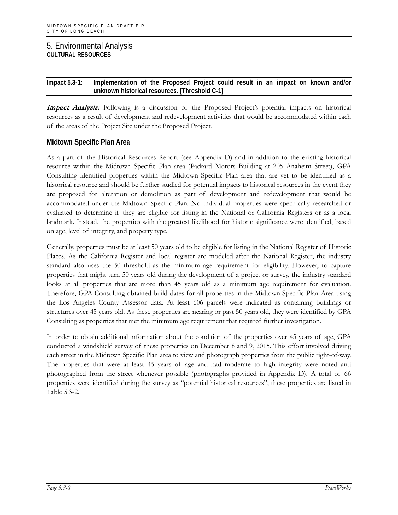#### **Impact 5.3-1: Implementation of the Proposed Project could result in an impact on known and/or unknown historical resources. [Threshold C-1]**

Impact Analysis: Following is a discussion of the Proposed Project's potential impacts on historical resources as a result of development and redevelopment activities that would be accommodated within each of the areas of the Project Site under the Proposed Project.

### **Midtown Specific Plan Area**

As a part of the Historical Resources Report (see Appendix D) and in addition to the existing historical resource within the Midtown Specific Plan area (Packard Motors Building at 205 Anaheim Street), GPA Consulting identified properties within the Midtown Specific Plan area that are yet to be identified as a historical resource and should be further studied for potential impacts to historical resources in the event they are proposed for alteration or demolition as part of development and redevelopment that would be accommodated under the Midtown Specific Plan. No individual properties were specifically researched or evaluated to determine if they are eligible for listing in the National or California Registers or as a local landmark. Instead, the properties with the greatest likelihood for historic significance were identified, based on age, level of integrity, and property type.

Generally, properties must be at least 50 years old to be eligible for listing in the National Register of Historic Places. As the California Register and local register are modeled after the National Register, the industry standard also uses the 50 threshold as the minimum age requirement for eligibility. However, to capture properties that might turn 50 years old during the development of a project or survey, the industry standard looks at all properties that are more than 45 years old as a minimum age requirement for evaluation. Therefore, GPA Consulting obtained build dates for all properties in the Midtown Specific Plan Area using the Los Angeles County Assessor data. At least 606 parcels were indicated as containing buildings or structures over 45 years old. As these properties are nearing or past 50 years old, they were identified by GPA Consulting as properties that met the minimum age requirement that required further investigation.

In order to obtain additional information about the condition of the properties over 45 years of age, GPA conducted a windshield survey of these properties on December 8 and 9, 2015. This effort involved driving each street in the Midtown Specific Plan area to view and photograph properties from the public right-of-way. The properties that were at least 45 years of age and had moderate to high integrity were noted and photographed from the street whenever possible (photographs provided in Appendix D). A total of 66 properties were identified during the survey as "potential historical resources"; these properties are listed in Table 5.3-2.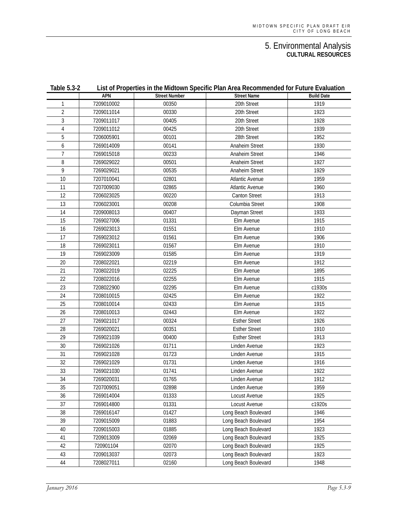| <b>Table 5.3-2</b> |            | List of Properties in the Midtown Specific Plan Area Recommended for Future Evaluation |                        |                   |  |  |  |
|--------------------|------------|----------------------------------------------------------------------------------------|------------------------|-------------------|--|--|--|
|                    | APN        | <b>Street Number</b>                                                                   | <b>Street Name</b>     | <b>Build Date</b> |  |  |  |
| 1                  | 7209010002 | 00350                                                                                  | 20th Street            | 1919              |  |  |  |
| 2                  | 7209011014 | 00330                                                                                  | 20th Street            | 1923              |  |  |  |
| 3                  | 7209011017 | 00405                                                                                  | 20th Street            | 1928              |  |  |  |
| 4                  | 7209011012 | 00425                                                                                  | 20th Street            | 1939              |  |  |  |
| 5                  | 7206005901 | 00101                                                                                  | 28th Street            | 1952              |  |  |  |
| 6                  | 7269014009 | 00141                                                                                  | <b>Anaheim Street</b>  | 1930              |  |  |  |
| 7                  | 7269015018 | 00233                                                                                  | <b>Anaheim Street</b>  | 1946              |  |  |  |
| 8                  | 7269029022 | 00501                                                                                  | <b>Anaheim Street</b>  | 1927              |  |  |  |
| 9                  | 7269029021 | 00535                                                                                  | <b>Anaheim Street</b>  | 1929              |  |  |  |
| 10                 | 7207010041 | 02801                                                                                  | <b>Atlantic Avenue</b> | 1959              |  |  |  |
| 11                 | 7207009030 | 02865                                                                                  | <b>Atlantic Avenue</b> | 1960              |  |  |  |
| 12                 | 7206023025 | 00220                                                                                  | Canton Street          | 1913              |  |  |  |
| 13                 | 7206023001 | 00208                                                                                  | Columbia Street        | 1908              |  |  |  |
| 14                 | 7209008013 | 00407                                                                                  | Dayman Street          | 1933              |  |  |  |
| 15                 | 7269027006 | 01331                                                                                  | Elm Avenue             | 1915              |  |  |  |
| 16                 | 7269023013 | 01551                                                                                  | Elm Avenue             | 1910              |  |  |  |
| 17                 | 7269023012 | 01561                                                                                  | Elm Avenue             | 1906              |  |  |  |
| 18                 | 7269023011 | 01567                                                                                  | Elm Avenue             | 1910              |  |  |  |
| 19                 | 7269023009 | 01585                                                                                  | Elm Avenue             | 1919              |  |  |  |
| 20                 | 7208022021 | 02219                                                                                  | Elm Avenue             | 1912              |  |  |  |
| 21                 | 7208022019 | 02225                                                                                  | Elm Avenue             | 1895              |  |  |  |
| 22                 | 7208022016 | 02255                                                                                  | Elm Avenue             | 1915              |  |  |  |
| 23                 | 7208022900 | 02295                                                                                  | Elm Avenue             | c1930s            |  |  |  |
| 24                 | 7208010015 | 02425                                                                                  | Elm Avenue             | 1922              |  |  |  |
| 25                 | 7208010014 | 02433                                                                                  | Elm Avenue             | 1915              |  |  |  |
| 26                 | 7208010013 | 02443                                                                                  | Elm Avenue             | 1922              |  |  |  |
| 27                 | 7269021017 | 00324                                                                                  | <b>Esther Street</b>   | 1926              |  |  |  |
| 28                 | 7269020021 | 00351                                                                                  | <b>Esther Street</b>   | 1910              |  |  |  |
| 29                 | 7269021039 | 00400                                                                                  | <b>Esther Street</b>   | 1913              |  |  |  |
| 30                 | 7269021026 | 01711                                                                                  | Linden Avenue          | 1923              |  |  |  |
| 31                 | 7269021028 | 01723                                                                                  | Linden Avenue          | 1915              |  |  |  |
| 32                 | 7269021029 | 01731                                                                                  | Linden Avenue          | 1916              |  |  |  |
| 33                 | 7269021030 | 01741                                                                                  | Linden Avenue          | 1922              |  |  |  |
| 34                 | 7269020031 | 01765                                                                                  | Linden Avenue          | 1912              |  |  |  |
| 35                 | 7207009051 | 02898                                                                                  | Linden Avenue          | 1959              |  |  |  |
| 36                 | 7269014004 | 01333                                                                                  | Locust Avenue          | 1925              |  |  |  |
| 37                 | 7269014800 | 01331                                                                                  | Locust Avenue          | c1920s            |  |  |  |
| 38                 | 7269016147 | 01427                                                                                  | Long Beach Boulevard   | 1946              |  |  |  |
| 39                 | 7209015009 | 01883                                                                                  | Long Beach Boulevard   | 1954              |  |  |  |
| 40                 | 7209015003 | 01885                                                                                  | Long Beach Boulevard   | 1923              |  |  |  |
| 41                 | 7209013009 | 02069                                                                                  | Long Beach Boulevard   | 1925              |  |  |  |
| 42                 | 720901104  | 02070                                                                                  | Long Beach Boulevard   | 1925              |  |  |  |
| 43                 | 7209013037 | 02073                                                                                  | Long Beach Boulevard   | 1923              |  |  |  |
| 44                 | 7208027011 | 02160                                                                                  | Long Beach Boulevard   | 1948              |  |  |  |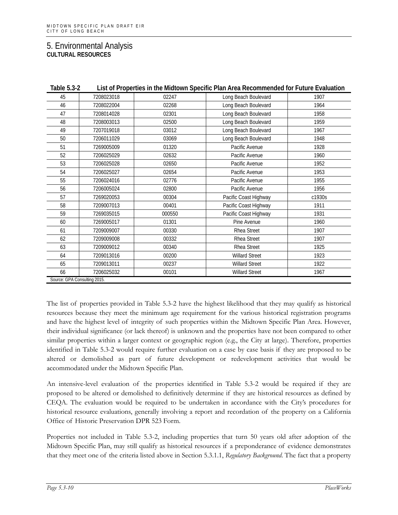| Table 5.3-2                  |            |        | List of Properties in the Midtown Specific Plan Area Recommended for Future Evaluation |        |
|------------------------------|------------|--------|----------------------------------------------------------------------------------------|--------|
| 45                           | 7208023018 | 02247  | Long Beach Boulevard                                                                   | 1907   |
| 46                           | 7208022004 | 02268  | Long Beach Boulevard                                                                   | 1964   |
| 47                           | 7208014028 | 02301  | Long Beach Boulevard                                                                   | 1958   |
| 48                           | 7208003013 | 02500  | Long Beach Boulevard                                                                   | 1959   |
| 49                           | 7207019018 | 03012  | Long Beach Boulevard                                                                   | 1967   |
| 50                           | 7206011029 | 03069  | Long Beach Boulevard                                                                   | 1948   |
| 51                           | 7269005009 | 01320  | Pacific Avenue                                                                         | 1928   |
| 52                           | 7206025029 | 02632  | Pacific Avenue                                                                         | 1960   |
| 53                           | 7206025028 | 02650  | Pacific Avenue                                                                         | 1952   |
| 54                           | 7206025027 | 02654  | Pacific Avenue                                                                         | 1953   |
| 55                           | 7206024016 | 02776  | Pacific Avenue                                                                         | 1955   |
| 56                           | 7206005024 | 02800  | Pacific Avenue                                                                         | 1956   |
| 57                           | 7269020053 | 00304  | Pacific Coast Highway                                                                  | c1930s |
| 58                           | 7209007013 | 00401  | Pacific Coast Highway                                                                  | 1911   |
| 59                           | 7269035015 | 000550 | Pacific Coast Highway                                                                  | 1931   |
| 60                           | 7269005017 | 01301  | Pine Avenue                                                                            | 1960   |
| 61                           | 7209009007 | 00330  | Rhea Street                                                                            | 1907   |
| 62                           | 7209009008 | 00332  | Rhea Street                                                                            | 1907   |
| 63                           | 7209009012 | 00340  | Rhea Street                                                                            | 1925   |
| 64                           | 7209013016 | 00200  | <b>Willard Street</b>                                                                  | 1923   |
| 65                           | 7209013011 | 00237  | <b>Willard Street</b>                                                                  | 1922   |
| 66                           | 7206025032 | 00101  | <b>Willard Street</b>                                                                  | 1967   |
| Source: GPA Consulting 2015. |            |        |                                                                                        |        |

The list of properties provided in Table 5.3-2 have the highest likelihood that they may qualify as historical resources because they meet the minimum age requirement for the various historical registration programs and have the highest level of integrity of such properties within the Midtown Specific Plan Area. However, their individual significance (or lack thereof) is unknown and the properties have not been compared to other similar properties within a larger context or geographic region (e.g., the City at large). Therefore, properties identified in Table 5.3-2 would require further evaluation on a case by case basis if they are proposed to be altered or demolished as part of future development or redevelopment activities that would be accommodated under the Midtown Specific Plan.

An intensive-level evaluation of the properties identified in Table 5.3-2 would be required if they are proposed to be altered or demolished to definitively determine if they are historical resources as defined by CEQA. The evaluation would be required to be undertaken in accordance with the City's procedures for historical resource evaluations, generally involving a report and recordation of the property on a California Office of Historic Preservation DPR 523 Form.

Properties not included in Table 5.3-2, including properties that turn 50 years old after adoption of the Midtown Specific Plan, may still qualify as historical resources if a preponderance of evidence demonstrates that they meet one of the criteria listed above in Section 5.3.1.1, *Regulatory Background*. The fact that a property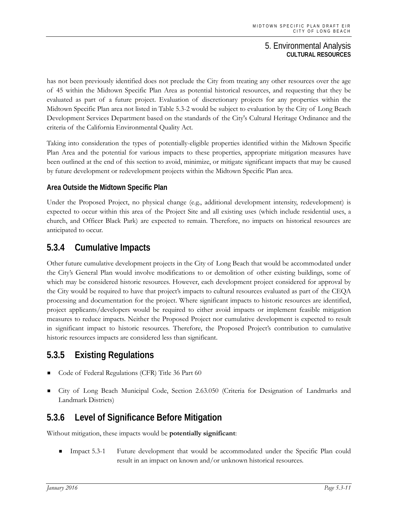has not been previously identified does not preclude the City from treating any other resources over the age of 45 within the Midtown Specific Plan Area as potential historical resources, and requesting that they be evaluated as part of a future project. Evaluation of discretionary projects for any properties within the Midtown Specific Plan area not listed in Table 5.3-2 would be subject to evaluation by the City of Long Beach Development Services Department based on the standards of the City's Cultural Heritage Ordinance and the criteria of the California Environmental Quality Act.

Taking into consideration the types of potentially-eligible properties identified within the Midtown Specific Plan Area and the potential for various impacts to these properties, appropriate mitigation measures have been outlined at the end of this section to avoid, minimize, or mitigate significant impacts that may be caused by future development or redevelopment projects within the Midtown Specific Plan area.

## **Area Outside the Midtown Specific Plan**

Under the Proposed Project, no physical change (e.g., additional development intensity, redevelopment) is expected to occur within this area of the Project Site and all existing uses (which include residential uses, a church, and Officer Black Park) are expected to remain. Therefore, no impacts on historical resources are anticipated to occur.

# **5.3.4 Cumulative Impacts**

Other future cumulative development projects in the City of Long Beach that would be accommodated under the City's General Plan would involve modifications to or demolition of other existing buildings, some of which may be considered historic resources. However, each development project considered for approval by the City would be required to have that project's impacts to cultural resources evaluated as part of the CEQA processing and documentation for the project. Where significant impacts to historic resources are identified, project applicants/developers would be required to either avoid impacts or implement feasible mitigation measures to reduce impacts. Neither the Proposed Project nor cumulative development is expected to result in significant impact to historic resources. Therefore, the Proposed Project's contribution to cumulative historic resources impacts are considered less than significant.

# **5.3.5 Existing Regulations**

- Code of Federal Regulations (CFR) Title 36 Part 60
- City of Long Beach Municipal Code, Section 2.63.050 (Criteria for Designation of Landmarks and Landmark Districts)

# **5.3.6 Level of Significance Before Mitigation**

Without mitigation, these impacts would be **potentially significant**:

 Impact 5.3-1 Future development that would be accommodated under the Specific Plan could result in an impact on known and/or unknown historical resources.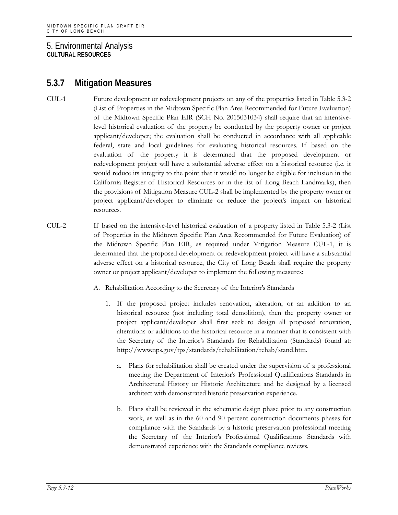# **5.3.7 Mitigation Measures**

- CUL-1 Future development or redevelopment projects on any of the properties listed in Table 5.3-2 (List of Properties in the Midtown Specific Plan Area Recommended for Future Evaluation) of the Midtown Specific Plan EIR (SCH No. 2015031034) shall require that an intensivelevel historical evaluation of the property be conducted by the property owner or project applicant/developer; the evaluation shall be conducted in accordance with all applicable federal, state and local guidelines for evaluating historical resources. If based on the evaluation of the property it is determined that the proposed development or redevelopment project will have a substantial adverse effect on a historical resource (i.e. it would reduce its integrity to the point that it would no longer be eligible for inclusion in the California Register of Historical Resources or in the list of Long Beach Landmarks), then the provisions of Mitigation Measure CUL-2 shall be implemented by the property owner or project applicant/developer to eliminate or reduce the project's impact on historical resources.
- CUL-2 If based on the intensive-level historical evaluation of a property listed in Table 5.3-2 (List of Properties in the Midtown Specific Plan Area Recommended for Future Evaluation) of the Midtown Specific Plan EIR, as required under Mitigation Measure CUL-1, it is determined that the proposed development or redevelopment project will have a substantial adverse effect on a historical resource, the City of Long Beach shall require the property owner or project applicant/developer to implement the following measures:
	- A. Rehabilitation According to the Secretary of the Interior's Standards
		- 1. If the proposed project includes renovation, alteration, or an addition to an historical resource (not including total demolition), then the property owner or project applicant/developer shall first seek to design all proposed renovation, alterations or additions to the historical resource in a manner that is consistent with the Secretary of the Interior's Standards for Rehabilitation (Standards) found at: http://www.nps.gov/tps/standards/rehabilitation/rehab/stand.htm.
			- a. Plans for rehabilitation shall be created under the supervision of a professional meeting the Department of Interior's Professional Qualifications Standards in Architectural History or Historic Architecture and be designed by a licensed architect with demonstrated historic preservation experience.
			- b. Plans shall be reviewed in the schematic design phase prior to any construction work, as well as in the 60 and 90 percent construction documents phases for compliance with the Standards by a historic preservation professional meeting the Secretary of the Interior's Professional Qualifications Standards with demonstrated experience with the Standards compliance reviews.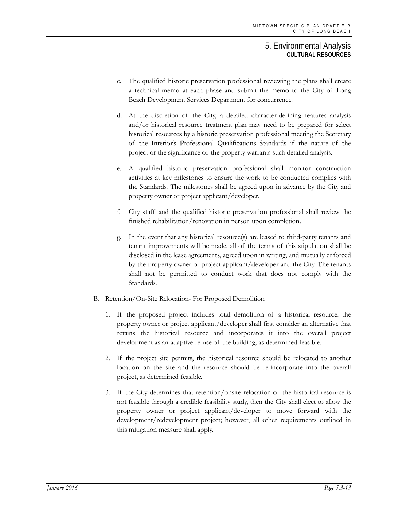- c. The qualified historic preservation professional reviewing the plans shall create a technical memo at each phase and submit the memo to the City of Long Beach Development Services Department for concurrence.
- d. At the discretion of the City, a detailed character-defining features analysis and/or historical resource treatment plan may need to be prepared for select historical resources by a historic preservation professional meeting the Secretary of the Interior's Professional Qualifications Standards if the nature of the project or the significance of the property warrants such detailed analysis.
- e. A qualified historic preservation professional shall monitor construction activities at key milestones to ensure the work to be conducted complies with the Standards. The milestones shall be agreed upon in advance by the City and property owner or project applicant/developer.
- f. City staff and the qualified historic preservation professional shall review the finished rehabilitation/renovation in person upon completion.
- g. In the event that any historical resource(s) are leased to third-party tenants and tenant improvements will be made, all of the terms of this stipulation shall be disclosed in the lease agreements, agreed upon in writing, and mutually enforced by the property owner or project applicant/developer and the City. The tenants shall not be permitted to conduct work that does not comply with the Standards.
- B. Retention/On-Site Relocation- For Proposed Demolition
	- 1. If the proposed project includes total demolition of a historical resource, the property owner or project applicant/developer shall first consider an alternative that retains the historical resource and incorporates it into the overall project development as an adaptive re-use of the building, as determined feasible.
	- 2. If the project site permits, the historical resource should be relocated to another location on the site and the resource should be re-incorporate into the overall project, as determined feasible.
	- 3. If the City determines that retention/onsite relocation of the historical resource is not feasible through a credible feasibility study, then the City shall elect to allow the property owner or project applicant/developer to move forward with the development/redevelopment project; however, all other requirements outlined in this mitigation measure shall apply.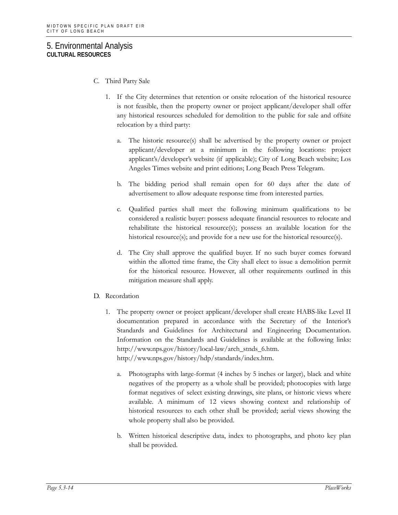- C. Third Party Sale
	- 1. If the City determines that retention or onsite relocation of the historical resource is not feasible, then the property owner or project applicant/developer shall offer any historical resources scheduled for demolition to the public for sale and offsite relocation by a third party:
		- a. The historic resource(s) shall be advertised by the property owner or project applicant/developer at a minimum in the following locations: project applicant's/developer's website (if applicable); City of Long Beach website; Los Angeles Times website and print editions; Long Beach Press Telegram.
		- b. The bidding period shall remain open for 60 days after the date of advertisement to allow adequate response time from interested parties.
		- c. Qualified parties shall meet the following minimum qualifications to be considered a realistic buyer: possess adequate financial resources to relocate and rehabilitate the historical resource(s); possess an available location for the historical resource(s); and provide for a new use for the historical resource(s).
		- d. The City shall approve the qualified buyer. If no such buyer comes forward within the allotted time frame, the City shall elect to issue a demolition permit for the historical resource. However, all other requirements outlined in this mitigation measure shall apply.
- D. Recordation
	- 1. The property owner or project applicant/developer shall create HABS-like Level II documentation prepared in accordance with the Secretary of the Interior's Standards and Guidelines for Architectural and Engineering Documentation. Information on the Standards and Guidelines is available at the following links: http://www.nps.gov/history/local-law/arch\_stnds\_6.htm. http://www.nps.gov/history/hdp/standards/index.htm.
		- a. Photographs with large-format (4 inches by 5 inches or larger), black and white negatives of the property as a whole shall be provided; photocopies with large format negatives of select existing drawings, site plans, or historic views where available. A minimum of 12 views showing context and relationship of historical resources to each other shall be provided; aerial views showing the whole property shall also be provided.
		- b. Written historical descriptive data, index to photographs, and photo key plan shall be provided.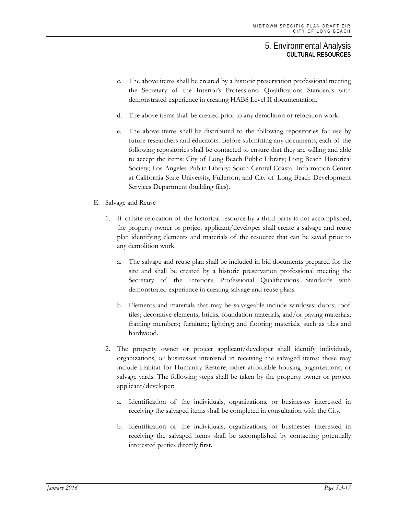- c. The above items shall be created by a historic preservation professional meeting the Secretary of the Interior's Professional Qualifications Standards with demonstrated experience in creating HABS Level II documentation.
- d. The above items shall be created prior to any demolition or relocation work.
- e. The above items shall be distributed to the following repositories for use by future researchers and educators. Before submitting any documents, each of the following repositories shall be contacted to ensure that they are willing and able to accept the items: City of Long Beach Public Library; Long Beach Historical Society; Los Angeles Public Library; South Central Coastal Information Center at California State University, Fullerton; and City of Long Beach Development Services Department (building files).
- E. Salvage and Reuse
	- 1. If offsite relocation of the historical resource by a third party is not accomplished, the property owner or project applicant/developer shall create a salvage and reuse plan identifying elements and materials of the resource that can be saved prior to any demolition work.
		- a. The salvage and reuse plan shall be included in bid documents prepared for the site and shall be created by a historic preservation professional meeting the Secretary of the Interior's Professional Qualifications Standards with demonstrated experience in creating salvage and reuse plans.
		- b. Elements and materials that may be salvageable include windows; doors; roof tiles; decorative elements; bricks, foundation materials, and/or paving materials; framing members; furniture; lighting; and flooring materials, such as tiles and hardwood.
	- 2. The property owner or project applicant/developer shall identify individuals, organizations, or businesses interested in receiving the salvaged items; these may include Habitat for Humanity Restore; other affordable housing organizations; or salvage yards. The following steps shall be taken by the property owner or project applicant/developer:
		- a. Identification of the individuals, organizations, or businesses interested in receiving the salvaged items shall be completed in consultation with the City.
		- b. Identification of the individuals, organizations, or businesses interested in receiving the salvaged items shall be accomplished by contacting potentially interested parties directly first.